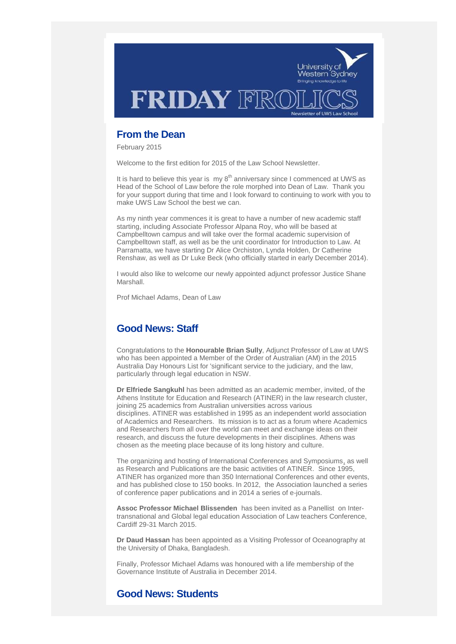

# **From the Dean**

February 2015

Welcome to the first edition for 2015 of the Law School Newsletter.

It is hard to believe this year is  $my 8<sup>th</sup>$  anniversary since I commenced at UWS as Head of the School of Law before the role morphed into Dean of Law. Thank you for your support during that time and I look forward to continuing to work with you to make UWS Law School the best we can.

As my ninth year commences it is great to have a number of new academic staff starting, including Associate Professor Alpana Roy, who will be based at Campbelltown campus and will take over the formal academic supervision of Campbelltown staff, as well as be the unit coordinator for Introduction to Law. At Parramatta, we have starting Dr Alice Orchiston, Lynda Holden, Dr Catherine Renshaw, as well as Dr Luke Beck (who officially started in early December 2014).

I would also like to welcome our newly appointed adjunct professor Justice Shane Marshall.

Prof Michael Adams, Dean of Law

# **Good News: Staff**

Congratulations to the **Honourable Brian Sully**, Adjunct Professor of Law at UWS who has been appointed a Member of the Order of Australian (AM) in the 2015 Australia Day Honours List for 'significant service to the judiciary, and the law, particularly through legal education in NSW.

**Dr Elfriede Sangkuhl** has been admitted as an academic member, invited, of the Athens Institute for Education and Research (ATINER) in the law research cluster, joining 25 academics from Australian universities across various disciplines. ATINER was established in 1995 as an independent world association of Academics and Researchers. Its mission is to act as a forum where Academics and Researchers from all over the world can meet and exchange ideas on their research, and discuss the future developments in their disciplines. Athens was chosen as the meeting place because of its long history and culture.

The organizing and hosting of International Conferences and Symposiums, as well as Research and Publications are the basic activities of ATINER. Since 1995, ATINER has organized more than 350 International Conferences and other events, and has published close to 150 books. In 2012, the Association launched a series of conference paper publications and in 2014 a series of e-journals.

**Assoc Professor Michael Blissenden** has been invited as a Panellist on Intertransnational and Global legal education Association of Law teachers Conference, Cardiff 29-31 March 2015.

**Dr Daud Hassan** has been appointed as a Visiting Professor of Oceanography at the University of Dhaka, Bangladesh.

Finally, Professor Michael Adams was honoured with a life membership of the Governance Institute of Australia in December 2014.

# **Good News: Students**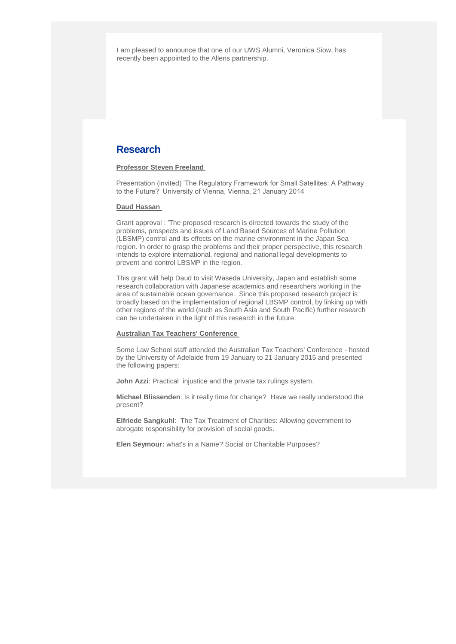I am pleased to announce that one of our UWS Alumni, Veronica Siow, has recently been appointed to the Allens partnership.

# **Research**

## **Professor Steven Freeland**

Presentation (invited) 'The Regulatory Framework for Small Satellites: A Pathway to the Future?' University of Vienna, Vienna, 21 January 2014

#### **Daud Hassan**

Grant approval : 'The proposed research is directed towards the study of the problems, prospects and issues of Land Based Sources of Marine Pollution (LBSMP) control and its effects on the marine environment in the Japan Sea region. In order to grasp the problems and their proper perspective, this research intends to explore international, regional and national legal developments to prevent and control LBSMP in the region.

This grant will help Daud to visit Waseda University, Japan and establish some research collaboration with Japanese academics and researchers working in the area of sustainable ocean governance. Since this proposed research project is broadly based on the implementation of regional LBSMP control, by linking up with other regions of the world (such as South Asia and South Pacific) further research can be undertaken in the light of this research in the future.

#### **Australian Tax Teachers' Conference**

Some Law School staff attended the Australian Tax Teachers' Conference - hosted by the University of Adelaide from 19 January to 21 January 2015 and presented the following papers:

**John Azzi:** Practical injustice and the private tax rulings system.

**Michael Blissenden**: Is it really time for change? Have we really understood the present?

**Elfriede Sangkuhl**: The Tax Treatment of Charities: Allowing government to abrogate responsibility for provision of social goods.

**Elen Seymour:** what's in a Name? Social or Charitable Purposes?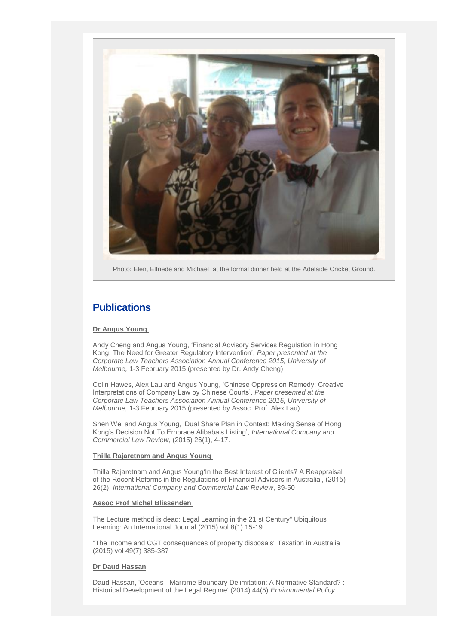

Photo: Elen, Elfriede and Michael at the formal dinner held at the Adelaide Cricket Ground.

# **Publications**

### **Dr Angus Young**

Andy Cheng and Angus Young, 'Financial Advisory Services Regulation in Hong Kong: The Need for Greater Regulatory Intervention', *Paper presented at the Corporate Law Teachers Association Annual Conference 2015, University of Melbourne,* 1-3 February 2015 (presented by Dr. Andy Cheng)

Colin Hawes, Alex Lau and Angus Young, 'Chinese Oppression Remedy: Creative Interpretations of Company Law by Chinese Courts', *Paper presented at the Corporate Law Teachers Association Annual Conference 2015, University of Melbourne,* 1-3 February 2015 (presented by Assoc. Prof. Alex Lau)

Shen Wei and Angus Young, 'Dual Share Plan in Context: Making Sense of Hong Kong's Decision Not To Embrace Alibaba's Listing', *International Company and Commercial Law Review*, (2015) 26(1), 4-17.

### **Thilla Rajaretnam and Angus Young**

Thilla Rajaretnam and Angus Young'In the Best Interest of Clients? A Reappraisal of the Recent Reforms in the Regulations of Financial Advisors in Australia', (2015) 26(2), *International Company and Commercial Law Review*, 39-50

#### **Assoc Prof Michel Blissenden**

The Lecture method is dead: Legal Learning in the 21 st Century" Ubiquitous Learning: An International Journal (2015) vol 8(1) 15-19

"The Income and CGT consequences of property disposals" Taxation in Australia (2015) vol 49(7) 385-387

### **Dr Daud Hassan**

Daud Hassan, 'Oceans - Maritime Boundary Delimitation: A Normative Standard? : Historical Development of the Legal Regime' (2014) 44(5) *Environmental Policy*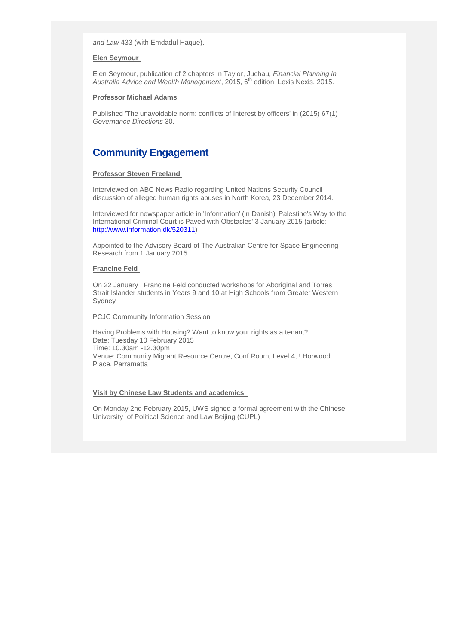*and Law* 433 (with Emdadul Haque).'

### **Elen Seymour**

Elen Seymour, publication of 2 chapters in Taylor, Juchau, *Financial Planning in*  Australia Advice and Wealth Management, 2015, 6<sup>th</sup> edition, Lexis Nexis, 2015.

## **Professor Michael Adams**

Published 'The unavoidable norm: conflicts of Interest by officers' in (2015) 67(1) *Governance Directions* 30.

# **Community Engagement**

#### **Professor Steven Freeland**

Interviewed on ABC News Radio regarding United Nations Security Council discussion of alleged human rights abuses in North Korea, 23 December 2014.

Interviewed for newspaper article in 'Information' (in Danish) 'Palestine's Way to the International Criminal Court is Paved with Obstacles' 3 January 2015 (article: [http://www.information.dk/520311\)](http://www.information.dk/520311)

Appointed to the Advisory Board of The Australian Centre for Space Engineering Research from 1 January 2015.

#### **Francine Feld**

On 22 January , Francine Feld conducted workshops for Aboriginal and Torres Strait Islander students in Years 9 and 10 at High Schools from Greater Western Sydney

PCJC Community Information Session

Having Problems with Housing? Want to know your rights as a tenant? Date: Tuesday 10 February 2015 Time: 10.30am -12.30pm Venue: Community Migrant Resource Centre, Conf Room, Level 4, ! Horwood Place, Parramatta

#### **Visit by Chinese Law Students and academics**

On Monday 2nd February 2015, UWS signed a formal agreement with the Chinese University of Political Science and Law Beijing (CUPL)